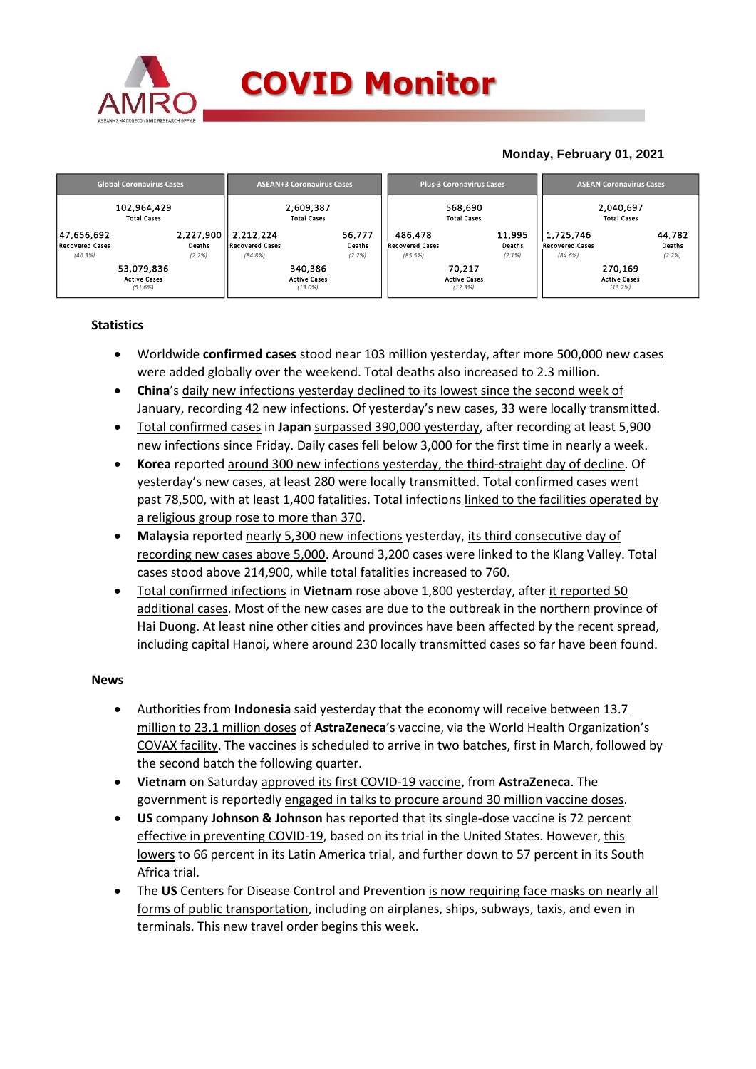

## **Monday, February 01, 2021**

| <b>Global Coronavirus Cases</b> | <b>ASEAN+3 Coronavirus Cases</b> | <b>Plus-3 Coronavirus Cases</b> | <b>ASEAN Coronavirus Cases</b> |  |  |
|---------------------------------|----------------------------------|---------------------------------|--------------------------------|--|--|
| 102,964,429                     | 2,609,387                        | 568,690                         | 2,040,697                      |  |  |
| <b>Total Cases</b>              | <b>Total Cases</b>               | <b>Total Cases</b>              | <b>Total Cases</b>             |  |  |
| 2,227,900                       | 2,212,224                        | 11,995                          | 44,782                         |  |  |
| 47,656,692                      | 56,777                           | 486.478                         | 1,725,746                      |  |  |
| <b>Recovered Cases</b>          | <b>Recovered Cases</b>           | Deaths                          | Deaths                         |  |  |
| Deaths                          | Deaths                           | <b>Recovered Cases</b>          | <b>Recovered Cases</b>         |  |  |
| (2.2%)                          | (2.2%)                           | (85.5%)                         | (2.2%)                         |  |  |
| (46.3%)                         | (84.8%)                          | (2.1%)                          | (84.6%)                        |  |  |
| 53,079,836                      | 340,386                          | 70,217                          | 270,169                        |  |  |
| <b>Active Cases</b>             | <b>Active Cases</b>              | <b>Active Cases</b>             | <b>Active Cases</b>            |  |  |
| (51.6%)                         | $(13.0\%)$                       | (12.3%)                         | (13.2%)                        |  |  |

#### **Statistics**

- Worldwide **confirmed cases** stood near 103 million yesterday, after more 500,000 new cases were added globally over the weekend. Total deaths also increased to 2.3 million.
- **China**'s daily new infections yesterday declined to its lowest since the second week of January, recording 42 new infections. Of yesterday's new cases, 33 were locally transmitted.
- Total confirmed cases in **Japan** surpassed 390,000 yesterday, after recording at least 5,900 new infections since Friday. Daily cases fell below 3,000 for the first time in nearly a week.
- **Korea** reported around 300 new infections yesterday, the third-straight day of decline. Of yesterday's new cases, at least 280 were locally transmitted. Total confirmed cases went past 78,500, with at least 1,400 fatalities. Total infections linked to the facilities operated by a religious group rose to more than 370.
- **Malaysia** reported nearly 5,300 new infections yesterday, its third consecutive day of recording new cases above 5,000. Around 3,200 cases were linked to the Klang Valley. Total cases stood above 214,900, while total fatalities increased to 760.
- Total confirmed infections in **Vietnam** rose above 1,800 yesterday, after it reported 50 additional cases. Most of the new cases are due to the outbreak in the northern province of Hai Duong. At least nine other cities and provinces have been affected by the recent spread, including capital Hanoi, where around 230 locally transmitted cases so far have been found.

### **News**

- Authorities from **Indonesia** said yesterday that the economy will receive between 13.7 million to 23.1 million doses of **AstraZeneca**'s vaccine, via the World Health Organization's COVAX facility. The vaccines is scheduled to arrive in two batches, first in March, followed by the second batch the following quarter.
- **Vietnam** on Saturday approved its first COVID-19 vaccine, from **AstraZeneca**. The government is reportedly engaged in talks to procure around 30 million vaccine doses.
- **US** company **Johnson & Johnson** has reported that its single-dose vaccine is 72 percent effective in preventing COVID-19, based on its trial in the United States. However, this lowers to 66 percent in its Latin America trial, and further down to 57 percent in its South Africa trial.
- The US Centers for Disease Control and Prevention is now requiring face masks on nearly all forms of public transportation, including on airplanes, ships, subways, taxis, and even in terminals. This new travel order begins this week.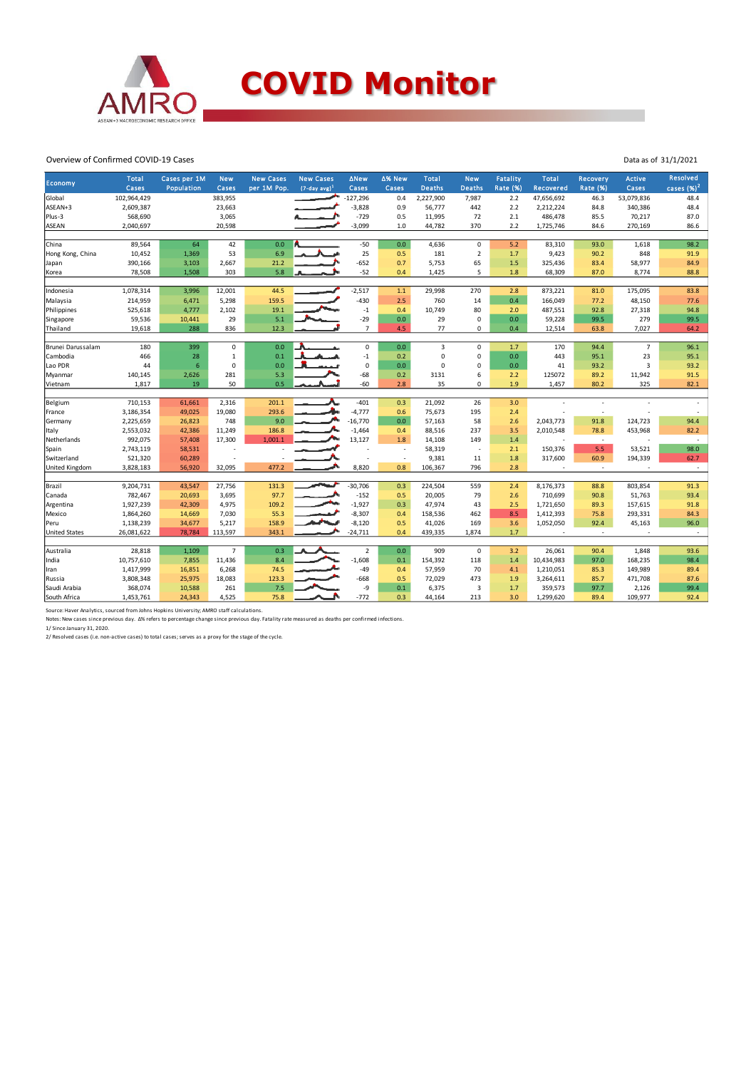

#### Overview of Confirmed COVID-19 Cases

|                      | <b>Total</b> | Cases per 1M | <b>New</b>     | <b>New Cases</b> | <b>New Cases</b> | <b>ANew</b>    | ∆% New         | <b>Total</b>  | <b>New</b>     | Fatality        | <b>Total</b> | <b>Recovery</b>          | <b>Active</b>  | <b>Resolved</b> |
|----------------------|--------------|--------------|----------------|------------------|------------------|----------------|----------------|---------------|----------------|-----------------|--------------|--------------------------|----------------|-----------------|
| <b>Economy</b>       | Cases        | Population   | Cases          | per 1M Pop.      | $(7-day, avg)^1$ | Cases          | Cases          | <b>Deaths</b> | <b>Deaths</b>  | <b>Rate (%)</b> | Recovered    | <b>Rate (%)</b>          | Cases          | cases $(%)^2$   |
| Global               | 102,964,429  |              | 383,955        |                  |                  | $-127,296$     | 0.4            | 2,227,900     | 7,987          | 2.2             | 47,656,692   | 46.3                     | 53,079,836     | 48.4            |
| ASEAN+3              | 2,609,387    |              | 23,663         |                  |                  | $-3,828$       | 0.9            | 56,777        | 442            | 2.2             | 2,212,224    | 84.8                     | 340,386        | 48.4            |
| Plus-3               | 568,690      |              | 3,065          |                  |                  | $-729$         | 0.5            | 11,995        | 72             | 2.1             | 486,478      | 85.5                     | 70,217         | 87.0            |
| <b>ASEAN</b>         | 2,040,697    |              | 20,598         |                  |                  | $-3,099$       | 1.0            | 44,782        | 370            | 2.2             | 1,725,746    | 84.6                     | 270,169        | 86.6            |
|                      |              |              |                |                  |                  |                |                |               |                |                 |              |                          |                |                 |
| China                | 89,564       | 64           | 42             | 0.0              |                  | $-50$          | 0.0            | 4,636         | $\mathbf 0$    | 5.2             | 83,310       | 93.0                     | 1,618          | 98.2            |
| Hong Kong, China     | 10,452       | 1,369        | 53             | 6.9              |                  | 25             | 0.5            | 181           | $\overline{2}$ | 1.7             | 9,423        | 90.2                     | 848            | 91.9            |
| Japan                | 390,166      | 3,103        | 2,667          | 21.2             |                  | $-652$         | 0.7            | 5,753         | 65             | 1.5             | 325,436      | 83.4                     | 58,977         | 84.9            |
| Korea                | 78,508       | 1,508        | 303            | 5.8              |                  | $-52$          | 0.4            | 1,425         | 5              | 1.8             | 68,309       | 87.0                     | 8,774          | 88.8            |
|                      |              |              |                |                  |                  |                |                |               |                |                 |              |                          |                |                 |
| Indonesia            | 1,078,314    | 3,996        | 12,001         | 44.5             |                  | $-2,517$       | 1.1            | 29,998        | 270            | 2.8             | 873,221      | 81.0                     | 175,095        | 83.8            |
| Malaysia             | 214,959      | 6,471        | 5,298          | 159.5            |                  | $-430$         | 2.5            | 760           | 14             | 0.4             | 166,049      | 77.2                     | 48,150         | 77.6            |
| Philippines          | 525,618      | 4,777        | 2,102          | 19.1             |                  | $-1$           | 0.4            | 10,749        | 80             | 2.0             | 487,551      | 92.8                     | 27,318         | 94.8            |
| Singapore            | 59,536       | 10,441       | 29             | 5.1              |                  | $-29$          | 0.0            | 29            | $\mathbf 0$    | 0.0             | 59,228       | 99.5                     | 279            | 99.5            |
| Thailand             | 19,618       | 288          | 836            | 12.3             |                  | $\overline{7}$ | 4.5            | 77            | $\mathbf 0$    | 0.4             | 12,514       | 63.8                     | 7,027          | 64.2            |
| Brunei Darussalam    | 180          | 399          | $\mathbf 0$    | 0.0              |                  | $\mathsf 0$    | 0.0            | 3             | $\mathbf 0$    | 1.7             | 170          | 94.4                     | $\overline{7}$ | 96.1            |
| Cambodia             | 466          | 28           | $\mathbf 1$    | $0.1\,$          |                  | $-1$           | 0.2            | $\pmb{0}$     | $\mathbf 0$    | 0.0             | 443          | 95.1                     | 23             | 95.1            |
| Lao PDR              | 44           | 6            | 0              | 0.0              |                  | 0              | 0.0            | $\mathbf 0$   | $\mathbf 0$    | 0.0             | 41           | 93.2                     | 3              | 93.2            |
|                      | 140,145      | 2,626        | 281            | 5.3              |                  | $-68$          | 0.2            | 3131          | 6              | 2.2             | 125072       | 89.2                     | 11,942         | 91.5            |
| Myanmar<br>Vietnam   | 1,817        | 19           | 50             | 0.5              |                  | $-60$          | 2.8            | 35            | $\mathbf 0$    | 1.9             | 1,457        | 80.2                     | 325            | 82.1            |
|                      |              |              |                |                  |                  |                |                |               |                |                 |              |                          |                |                 |
| Belgium              | 710,153      | 61,661       | 2,316          | 201.1            |                  | $-401$         | 0.3            | 21,092        | 26             | 3.0             |              | $\overline{\phantom{a}}$ |                | $\overline{a}$  |
| France               | 3,186,354    | 49,025       | 19,080         | 293.6            |                  | $-4,777$       | 0.6            | 75,673        | 195            | 2.4             |              | $\overline{\phantom{a}}$ |                |                 |
| Germany              | 2,225,659    | 26,823       | 748            | 9.0              |                  | $-16,770$      | 0.0            | 57,163        | 58             | 2.6             | 2,043,773    | 91.8                     | 124,723        | 94.4            |
| Italy                | 2,553,032    | 42,386       | 11,249         | 186.8            |                  | $-1,464$       | 0.4            | 88,516        | 237            | 3.5             | 2,010,548    | 78.8                     | 453,968        | 82.2            |
| Netherlands          | 992,075      | 57,408       | 17,300         | 1,001.1          |                  | 13,127         | 1.8            | 14,108        | 149            | 1.4             |              | $\sim$                   |                | $\sim$          |
| Spain                | 2,743,119    | 58,531       |                |                  |                  |                | ÷              | 58,319        | $\overline{a}$ | 2.1             | 150,376      | 5.5                      | 53,521         | 98.0            |
| Switzerland          | 521,320      | 60,289       |                |                  |                  |                | $\overline{a}$ | 9,381         | 11             | 1.8             | 317,600      | 60.9                     | 194,339        | 62.7            |
| United Kingdom       | 3,828,183    | 56,920       | 32,095         | 477.2            |                  | 8,820          | 0.8            | 106,367       | 796            | 2.8             |              | ٠                        |                | $\sim$          |
|                      |              |              |                |                  |                  |                |                |               |                |                 |              |                          |                |                 |
| Brazil               | 9,204,731    | 43,547       | 27,756         | 131.3            |                  | $-30,706$      | 0.3            | 224,504       | 559            | 2.4             | 8,176,373    | 88.8                     | 803,854        | 91.3            |
| Canada               | 782,467      | 20,693       | 3,695          | 97.7             |                  | $-152$         | 0.5            | 20,005        | 79             | 2.6             | 710,699      | 90.8                     | 51,763         | 93.4            |
| Argentina            | 1,927,239    | 42,309       | 4,975          | 109.2            |                  | $-1,927$       | 0.3            | 47,974        | 43             | 2.5             | 1,721,650    | 89.3                     | 157,615        | 91.8            |
| Mexico               | 1,864,260    | 14,669       | 7,030          | 55.3             |                  | $-8,307$       | 0.4            | 158,536       | 462            | 8.5             | 1,412,393    | 75.8                     | 293,331        | 84.3            |
| Peru                 | 1,138,239    | 34,677       | 5,217          | 158.9            |                  | $-8,120$       | 0.5            | 41,026        | 169            | 3.6             | 1,052,050    | 92.4                     | 45,163         | 96.0            |
| <b>United States</b> | 26,081,622   | 78,784       | 113,597        | 343.1            |                  | $-24,711$      | 0.4            | 439,335       | 1,874          | 1.7             |              | $\overline{\phantom{a}}$ |                | $\sim$          |
|                      |              |              |                |                  |                  |                |                |               |                |                 |              |                          |                |                 |
| Australia            | 28,818       | 1,109        | $\overline{7}$ | 0.3              |                  | $\overline{2}$ | 0.0            | 909           | $\mathbf 0$    | 3.2             | 26,061       | 90.4                     | 1,848          | 93.6            |
| India                | 10,757,610   | 7,855        | 11,436         | 8.4              |                  | $-1,608$       | 0.1            | 154,392       | 118            | 1.4             | 10,434,983   | 97.0                     | 168,235        | 98.4            |
| Iran                 | 1,417,999    | 16,851       | 6,268          | 74.5             |                  | $-49$          | 0.4            | 57,959        | 70             | 4.1             | 1,210,051    | 85.3                     | 149,989        | 89.4            |
| Russia               | 3,808,348    | 25,975       | 18,083         | 123.3            |                  | $-668$         | 0.5            | 72,029        | 473            | 1.9             | 3,264,611    | 85.7                     | 471,708        | 87.6            |
| Saudi Arabia         | 368,074      | 10,588       | 261            | 7.5              |                  | -9             | 0.1            | 6,375         | 3              | 1.7             | 359,573      | 97.7                     | 2,126          | 99.4            |
| South Africa         | 1,453,761    | 24,343       | 4,525          | 75.8             |                  | $-772$         | 0.3            | 44,164        | 213            | 3.0             | 1,299,620    | 89.4                     | 109,977        | 92.4            |

Data as of 31/1/2021

Source: Haver Analytics, sourced from Johns Hopkins University; AMRO staff calculations.

Notes: New cases since previous day. Δ% refers to percentage change since previous day. Fatality rate measured as deaths per confirmed infections.<br>1/ Since January 31, 2020.<br>2/ Resolved cases (i.e. non-active cases) to tot